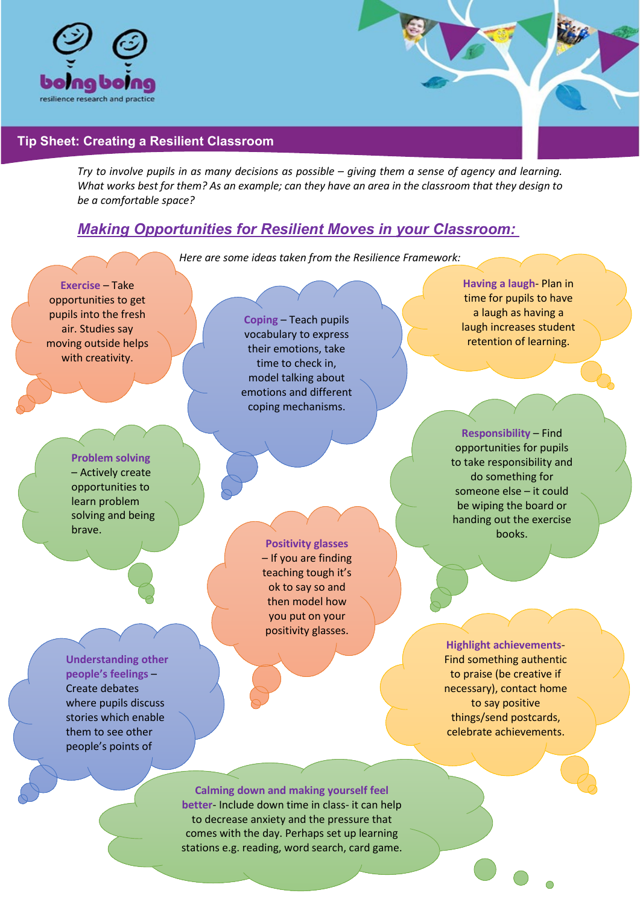

## **Tip Sheet: Creating a Resilient Classroom**

*Try to involve pupils in as many decisions as possible – giving them a sense of agency and learning. What works best for them? As an example; can they have an area in the classroom that they design to be a comfortable space?*

## *Making Opportunities for Resilient Moves in your Classroom:*

*Here are some ideas taken from the Resilience Framework:*



stations e.g. reading, word search, card game.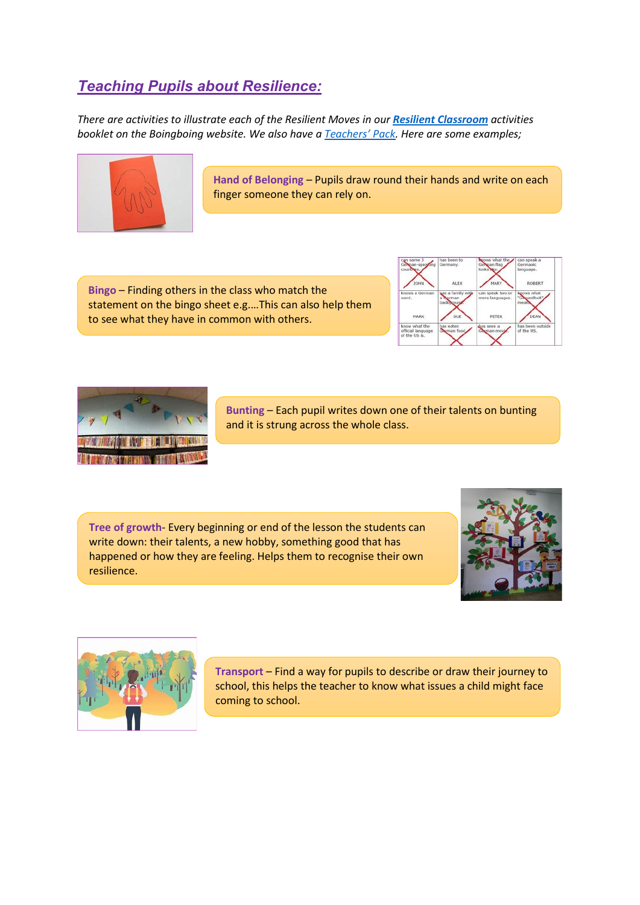## *Teaching Pupils about Resilience:*

*There are activities to illustrate each of the Resilient Moves in our [Resilient Classroom](https://boingboing.org.uk/wp-content/uploads/2020/09/Boingboing-The-Resilient-Classroom-Web.pdf) activities booklet on the Boingboing website. We also have a [Teachers'](https://www.boingboing.org.uk/bounce-forward/) Pack. Here are some examples;*



**Hand of Belonging** – Pupils draw round their hands and write on each finger someone they can rely on.

**Bingo** – Finding others in the class who match the statement on the bingo sheet e.g.…This can also help them to see what they have in common with others.





**Bunting** – Each pupil writes down one of their talents on bunting and it is strung across the whole class.

**Tree of growth**- Every beginning or end of the lesson the students can write down: their talents, a new hobby, something good that has happened or how they are feeling. Helps them to recognise their own resilience.





**Transport** – Find a way for pupils to describe or draw their journey to school, this helps the teacher to know what issues a child might face coming to school.